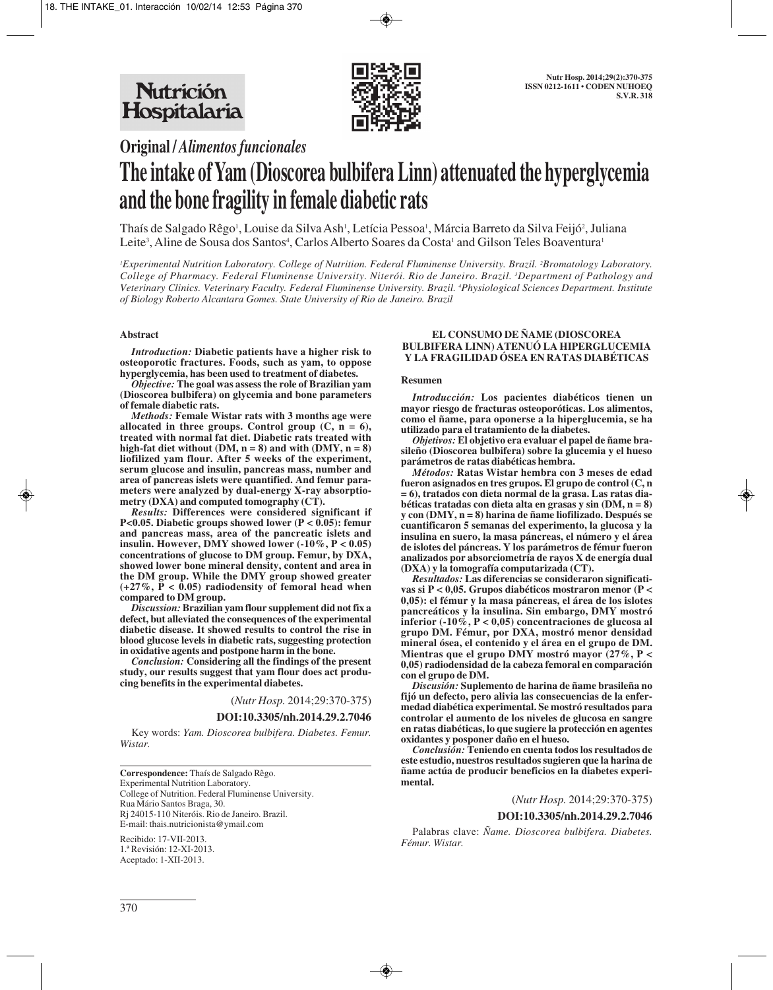

**Original /** *Alimentos funcionales*

# **The intake of Yam (Dioscorea bulbifera Linn) attenuated the hyperglycemia and the bone fragility in female diabetic rats**

Thaís de Salgado Rêgo', Louise da Silva Ash', Letícia Pessoa', Márcia Barreto da Silva Feijó<sup>2</sup>, Juliana Leite<sup>3</sup>, Aline de Sousa dos Santos<sup>4</sup>, Carlos Alberto Soares da Costa<sup>1</sup> and Gilson Teles Boaventura<sup>1</sup>

*1 Experimental Nutrition Laboratory. College of Nutrition. Federal Fluminense University. Brazil. 2 Bromatology Laboratory. College of Pharmacy. Federal Fluminense University. Niterói. Rio de Janeiro. Brazil. 3 Department of Pathology and Veterinary Clinics. Veterinary Faculty. Federal Fluminense University. Brazil. 4 Physiological Sciences Department. Institute of Biology Roberto Alcantara Gomes. State University of Rio de Janeiro. Brazil*

## **Abstract**

*Introduction:* **Diabetic patients have a higher risk to osteoporotic fractures. Foods, such as yam, to oppose hyperglycemia, has been used to treatment of diabetes.**

*Objective:* **The goal was assess the role of Brazilian yam (Dioscorea bulbifera) on glycemia and bone parameters of female diabetic rats.**

*Methods:* **Female Wistar rats with 3 months age were** allocated in three groups. Control group  $(C, n = 6)$ , **treated with normal fat diet. Diabetic rats treated with** high-fat diet without  $(DM, n = 8)$  and with  $(DMY, n = 8)$ **liofilized yam flour. After 5 weeks of the experiment, serum glucose and insulin, pancreas mass, number and area of pancreas islets were quantified. And femur parameters were analyzed by dual-energy X-ray absorptiometry (DXA) and computed tomography (CT).**

*Results:* **Differences were considered significant if P<0.05. Diabetic groups showed lower (P < 0.05): femur and pancreas mass, area of the pancreatic islets and insulin. However, DMY showed lower (-10%, P < 0.05) concentrations of glucose to DM group. Femur, by DXA, showed lower bone mineral density, content and area in the DM group. While the DMY group showed greater**  $(+27\%, \overrightarrow{P} < 0.05)$  radiodensity of femoral head when **compared to DM group.**

*Discussion:* **Brazilian yam flour supplement did not fix a defect, but alleviated the consequences of the experimental diabetic disease. It showed results to control the rise in blood glucose levels in diabetic rats, suggesting protection in oxidative agents and postpone harm in the bone.**

*Conclusion:* **Considering all the findings of the present study, our results suggest that yam flour does act producing benefits in the experimental diabetes.**

(*Nutr Hosp.* 2014;29:370-375)

**DOI:10.3305/nh.2014.29.2.7046**

Key words: *Yam. Dioscorea bulbifera. Diabetes. Femur. Wistar.*

Correspondence: Thaís de Salgado Rêgo. Experimental Nutrition Laboratory. College of Nutrition. Federal Fluminense University. Rua Mário Santos Braga, 30. Rj 24015-110 Niteróis. Rio de Janeiro. Brazil. E-mail: thais.nutricionista@ymail.com

Recibido: 17-VII-2013. 1.ª Revisión: 12-XI-2013. Aceptado: 1-XII-2013.

#### **EL CONSUMO DE ÑAME (DIOSCOREA BULBIFERA LINN) ATENUÓ LA HIPERGLUCEMIA Y LA FRAGILIDAD ÓSEA EN RATAS DIABÉTICAS**

#### **Resumen**

*Introducción:* **Los pacientes diabéticos tienen un mayor riesgo de fracturas osteoporóticas. Los alimentos, como el ñame, para oponerse a la hiperglucemia, se ha utilizado para el tratamiento de la diabetes.** 

*Objetivos:* **El objetivo era evaluar el papel de ñame brasileño (Dioscorea bulbifera) sobre la glucemia y el hueso parámetros de ratas diabéticas hembra.**

*Métodos:* **Ratas Wistar hembra con 3 meses de edad fueron asignados en tres grupos. El grupo de control (C, n = 6), tratados con dieta normal de la grasa. Las ratas diabéticas tratadas con dieta alta en grasas y sin (DM, n = 8) y con (DMY, n = 8) harina de ñame liofilizado. Después se cuantificaron 5 semanas del experimento, la glucosa y la insulina en suero, la masa páncreas, el número y el área de islotes del páncreas. Y los parámetros de fémur fueron analizados por absorciometría de rayos X de energía dual (DXA) y la tomografía computarizada (CT).**

*Resultados:* **Las diferencias se consideraron significativas si P < 0,05. Grupos diabéticos mostraron menor (P < 0,05): el fémur y la masa páncreas, el área de los islotes pancreáticos y la insulina. Sin embargo, DMY mostró inferior (-10%, P < 0,05) concentraciones de glucosa al grupo DM. Fémur, por DXA, mostró menor densidad mineral ósea, el contenido y el área en el grupo de DM. Mientras que el grupo DMY mostró mayor (27%, P < 0,05) radiodensidad de la cabeza femoral en comparación con el grupo de DM.**

*Discusión:* **Suplemento de harina de ñame brasileña no fijó un defecto, pero alivia las consecuencias de la enfermedad diabética experimental. Se mostró resultados para controlar el aumento de los niveles de glucosa en sangre en ratas diabéticas, lo que sugiere la protección en agentes oxidantes y posponer daño en el hueso.**

*Conclusión:* **Teniendo en cuenta todos los resultados de este estudio, nuestros resultados sugieren que la harina de ñame actúa de producir beneficios en la diabetes experimental.**

(*Nutr Hosp.* 2014;29:370-375)

#### **DOI:10.3305/nh.2014.29.2.7046**

Palabras clave: *Ñame. Dioscorea bulbifera. Diabetes. Fémur. Wistar.*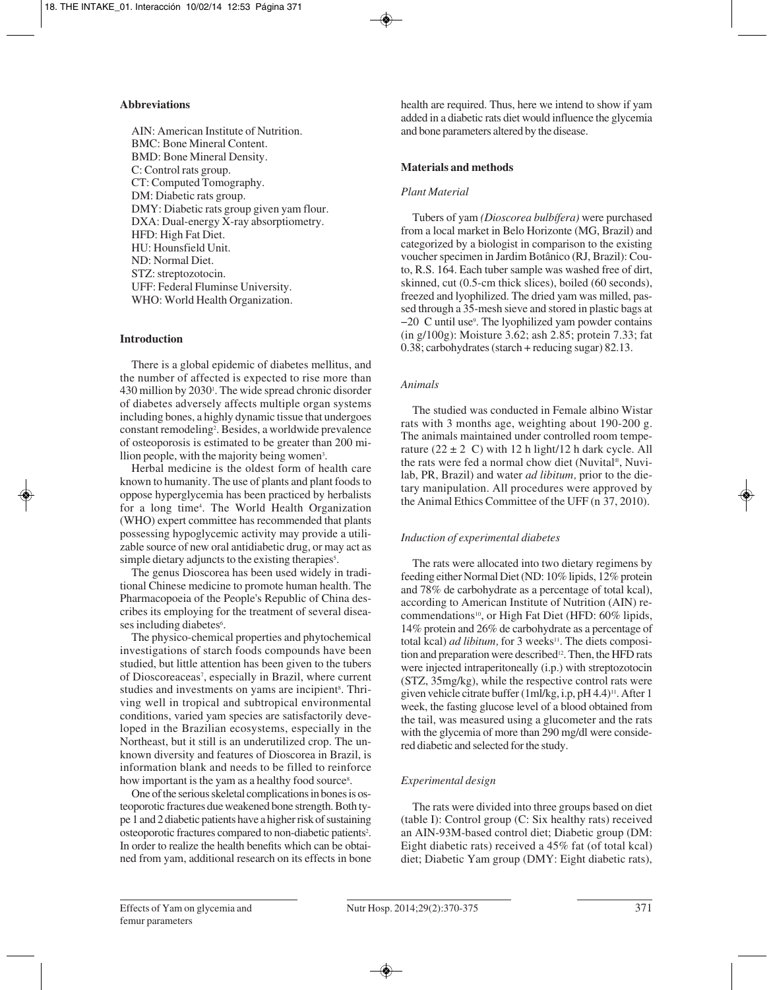## **Abbreviations**

AIN: American Institute of Nutrition. BMC: Bone Mineral Content. BMD: Bone Mineral Density. C: Control rats group. CT: Computed Tomography. DM: Diabetic rats group. DMY: Diabetic rats group given yam flour. DXA: Dual-energy X-ray absorptiometry. HFD: High Fat Diet. HU: Hounsfield Unit. ND: Normal Diet. STZ: streptozotocin. UFF: Federal Fluminse University. WHO: World Health Organization.

#### **Introduction**

There is a global epidemic of diabetes mellitus, and the number of affected is expected to rise more than 430 million by 2030<sup>1</sup>. The wide spread chronic disorder of diabetes adversely affects multiple organ systems including bones, a highly dynamic tissue that undergoes constant remodeling2 . Besides, a worldwide prevalence of osteoporosis is estimated to be greater than 200 million people, with the majority being women<sup>3</sup>.

Herbal medicine is the oldest form of health care known to humanity. The use of plants and plant foods to oppose hyperglycemia has been practiced by herbalists for a long time4 . The World Health Organization (WHO) expert committee has recommended that plants possessing hypoglycemic activity may provide a utilizable source of new oral antidiabetic drug, or may act as simple dietary adjuncts to the existing therapies<sup>5</sup>.

The genus Dioscorea has been used widely in traditional Chinese medicine to promote human health. The Pharmacopoeia of the People's Republic of China describes its employing for the treatment of several diseases including diabetes<sup>6</sup>.

The physico-chemical properties and phytochemical investigations of starch foods compounds have been studied, but little attention has been given to the tubers of Dioscoreaceas<sup>7</sup>, especially in Brazil, where current studies and investments on yams are incipient<sup>8</sup>. Thriving well in tropical and subtropical environmental conditions, varied yam species are satisfactorily developed in the Brazilian ecosystems, especially in the Northeast, but it still is an underutilized crop. The unknown diversity and features of Dioscorea in Brazil, is information blank and needs to be filled to reinforce how important is the yam as a healthy food source<sup>8</sup>.

One of the serious skeletal complications in bones is osteoporotic fractures due weakened bone strength. Both type 1 and 2 diabetic patients have a higher risk of sustaining osteoporotic fractures compared to non-diabetic patients<sup>2</sup>. In order to realize the health benefits which can be obtained from yam, additional research on its effects in bone health are required. Thus, here we intend to show if yam added in a diabetic rats diet would influence the glycemia and bone parameters altered by the disease.

## **Materials and methods**

## *Plant Material*

Tubers of yam *(Dioscorea bulbífera)* were purchased from a local market in Belo Horizonte (MG, Brazil) and categorized by a biologist in comparison to the existing voucher specimen in Jardim Botânico (RJ, Brazil): Couto, R.S. 164. Each tuber sample was washed free of dirt, skinned, cut (0.5-cm thick slices), boiled (60 seconds), freezed and lyophilized. The dried yam was milled, passed through a 35-mesh sieve and stored in plastic bags at −20 C until use9 . The lyophilized yam powder contains (in g/100g): Moisture 3.62; ash 2.85; protein 7.33; fat 0.38; carbohydrates (starch + reducing sugar) 82.13.

## *Animals*

The studied was conducted in Female albino Wistar rats with 3 months age, weighting about 190-200 g. The animals maintained under controlled room temperature  $(22 \pm 2 \text{ C})$  with 12 h light/12 h dark cycle. All the rats were fed a normal chow diet (Nuvital®, Nuvilab, PR, Brazil) and water *ad libitum,* prior to the dietary manipulation. All procedures were approved by the Animal Ethics Committee of the UFF (n 37, 2010).

## *Induction of experimental diabetes*

The rats were allocated into two dietary regimens by feeding either Normal Diet (ND: 10% lipids, 12% protein and 78% de carbohydrate as a percentage of total kcal), according to American Institute of Nutrition (AIN) recommendations<sup>10</sup>, or High Fat Diet (HFD: 60% lipids, 14% protein and 26% de carbohydrate as a percentage of total kcal) *ad libitum*, for 3 weeks<sup>11</sup>. The diets composition and preparation were described<sup>12</sup>. Then, the HFD rats were injected intraperitoneally (i.p.) with streptozotocin (STZ, 35mg/kg), while the respective control rats were given vehicle citrate buffer  $(1m/kg, i.p, pH 4.4)$ <sup>11</sup>. After 1 week, the fasting glucose level of a blood obtained from the tail, was measured using a glucometer and the rats with the glycemia of more than 290 mg/dl were considered diabetic and selected for the study.

## *Experimental design*

The rats were divided into three groups based on diet (table I): Control group (C: Six healthy rats) received an AIN-93M-based control diet; Diabetic group (DM: Eight diabetic rats) received a 45% fat (of total kcal) diet; Diabetic Yam group (DMY: Eight diabetic rats),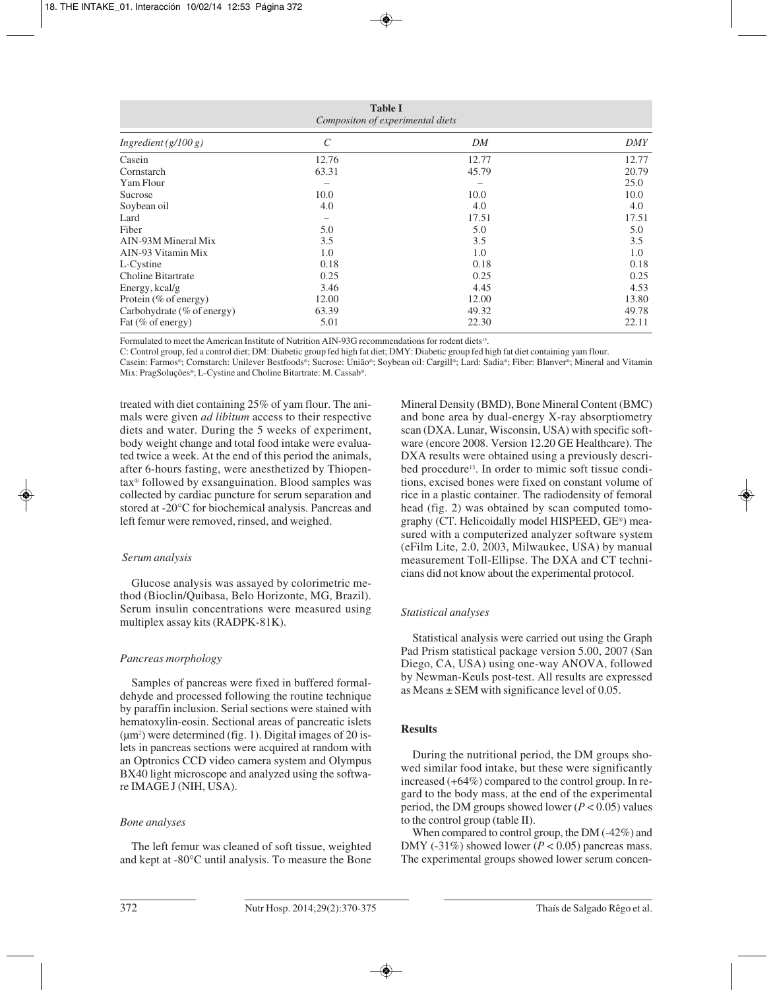| <b>Table I</b><br>Compositon of experimental diets |       |       |            |  |  |
|----------------------------------------------------|-------|-------|------------|--|--|
| Ingredient $(g/100 g)$                             | C     | DM    | <b>DMY</b> |  |  |
| Casein                                             | 12.76 | 12.77 | 12.77      |  |  |
| Cornstarch                                         | 63.31 | 45.79 | 20.79      |  |  |
| Yam Flour                                          |       |       | 25.0       |  |  |
| Sucrose                                            | 10.0  | 10.0  | 10.0       |  |  |
| Soybean oil                                        | 4.0   | 4.0   | 4.0        |  |  |
| Lard                                               |       | 17.51 | 17.51      |  |  |
| Fiber                                              | 5.0   | 5.0   | 5.0        |  |  |
| AIN-93M Mineral Mix                                | 3.5   | 3.5   | 3.5        |  |  |
| AIN-93 Vitamin Mix                                 | 1.0   | 1.0   | 1.0        |  |  |
| L-Cystine                                          | 0.18  | 0.18  | 0.18       |  |  |
| <b>Choline Bitartrate</b>                          | 0.25  | 0.25  | 0.25       |  |  |
| Energy, kcal/g                                     | 3.46  | 4.45  | 4.53       |  |  |
| Protein (% of energy)                              | 12.00 | 12.00 | 13.80      |  |  |
| Carbohydrate (% of energy)                         | 63.39 | 49.32 | 49.78      |  |  |
| Fat (% of energy)                                  | 5.01  | 22.30 | 22.11      |  |  |

Formulated to meet the American Institute of Nutrition AIN-93G recommendations for rodent diets<sup>15</sup>.

C: Control group, fed a control diet; DM: Diabetic group fed high fat diet; DMY: Diabetic group fed high fat diet containing yam flour.

Casein: Farmos®; Cornstarch: Unilever Bestfoods®; Sucrose: União®; Soybean oil: Cargill®; Lard: Sadia®; Fiber: Blanver®; Mineral and Vitamin Mix: PragSoluções®; L-Cystine and Choline Bitartrate: M. Cassab®.

treated with diet containing 25% of yam flour. The animals were given *ad libitum* access to their respective diets and water. During the 5 weeks of experiment, body weight change and total food intake were evaluated twice a week. At the end of this period the animals, after 6-hours fasting, were anesthetized by Thiopentax® followed by exsanguination. Blood samples was collected by cardiac puncture for serum separation and stored at -20°C for biochemical analysis. Pancreas and left femur were removed, rinsed, and weighed.

## *Serum analysis*

Glucose analysis was assayed by colorimetric me thod (Bioclin/Quibasa, Belo Horizonte, MG, Brazil). Serum insulin concentrations were measured using multiplex assay kits (RADPK-81K).

# *Pancreas morphology*

Samples of pancreas were fixed in buffered formaldehyde and processed following the routine technique by paraffin inclusion. Serial sections were stained with hematoxylin-eosin. Sectional areas of pancreatic islets (µm2 ) were determined (fig. 1). Digital images of 20 islets in pancreas sections were acquired at random with an Optronics CCD video camera system and Olympus BX40 light microscope and analyzed using the software IMAGE J (NIH, USA).

# *Bone analyses*

The left femur was cleaned of soft tissue, weighted and kept at -80°C until analysis. To measure the Bone Mineral Density (BMD), Bone Mineral Content (BMC) and bone area by dual-energy X-ray absorptiometry scan (DXA. Lunar, Wisconsin, USA) with specific software (encore 2008. Version 12.20 GE Healthcare). The DXA results were obtained using a previously described procedure<sup>13</sup>. In order to mimic soft tissue conditions, excised bones were fixed on constant volume of rice in a plastic container. The radiodensity of femoral head (fig. 2) was obtained by scan computed tomography (CT. Helicoidally model HISPEED, GE®) measured with a computerized analyzer software system (eFilm Lite, 2.0, 2003, Milwaukee, USA) by manual measurement Toll-Ellipse. The DXA and CT technicians did not know about the experimental protocol.

# *Statistical analyses*

Statistical analysis were carried out using the Graph Pad Prism statistical package version 5.00, 2007 (San Diego, CA, USA) using one-way ANOVA, followed by Newman-Keuls post-test. All results are expressed as Means ± SEM with significance level of 0.05.

# **Results**

During the nutritional period, the DM groups showed similar food intake, but these were significantly increased (+64%) compared to the control group. In regard to the body mass, at the end of the experimental period, the DM groups showed lower (*P* < 0.05) values to the control group (table II).

When compared to control group, the DM (-42%) and DMY (-31%) showed lower ( $P < 0.05$ ) pancreas mass. The experimental groups showed lower serum concen-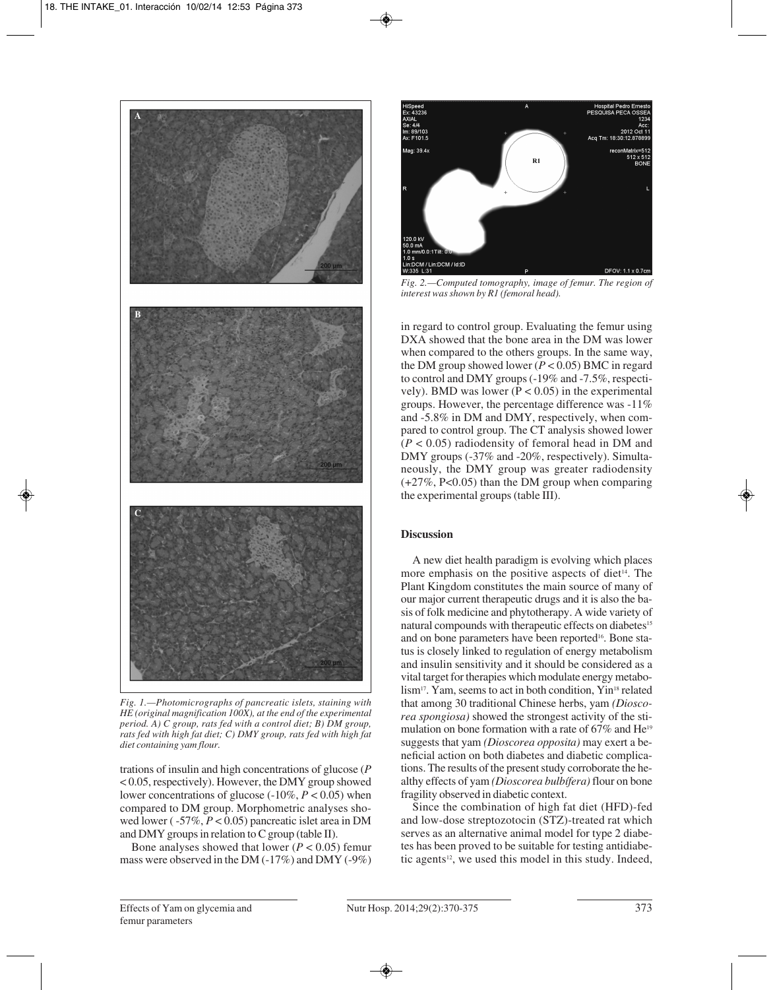

*Fig. 1.—Photomicrographs of pancreatic islets, staining with HE (original magnification 100X), at the end of the experimental period. A) C group, rats fed with a control diet; B) DM group, rats fed with high fat diet; C) DMY group, rats fed with high fat diet containing yam flour.*

trations of insulin and high concentrations of glucose (*P* < 0.05, respectively). However, the DMY group showed lower concentrations of glucose  $(-10\%, P < 0.05)$  when compared to DM group. Morphometric analyses showed lower ( -57%, *P* < 0.05) pancreatic islet area in DM and DMY groups in relation to C group (table II).

Bone analyses showed that lower  $(P < 0.05)$  femur mass were observed in the DM (-17%) and DMY (-9%)



*Fig. 2.—Computed tomography, image of femur. The region of interest was shown by R1 (femoral head).*

in regard to control group. Evaluating the femur using DXA showed that the bone area in the DM was lower when compared to the others groups. In the same way, the DM group showed lower  $(P < 0.05)$  BMC in regard to control and DMY groups (-19% and -7.5%, respectively). BMD was lower ( $P < 0.05$ ) in the experimental groups. However, the percentage difference was -11% and -5.8% in DM and DMY, respectively, when compared to control group. The CT analysis showed lower (*P* < 0.05) radiodensity of femoral head in DM and DMY groups (-37% and -20%, respectively). Simultaneously, the DMY group was greater radiodensity  $(+27\%, P<0.05)$  than the DM group when comparing the experimental groups (table III).

## **Discussion**

A new diet health paradigm is evolving which places more emphasis on the positive aspects of diet<sup>14</sup>. The Plant Kingdom constitutes the main source of many of our major current therapeutic drugs and it is also the basis of folk medicine and phytotherapy. A wide variety of natural compounds with therapeutic effects on diabetes<sup>15</sup> and on bone parameters have been reported<sup>16</sup>. Bone status is closely linked to regulation of energy metabolism and insulin sensitivity and it should be considered as a vital target for therapies which modulate energy metabolism<sup>17</sup>. Yam, seems to act in both condition, Yin<sup>18</sup> related that among 30 traditional Chinese herbs, yam *(Dioscorea spongiosa)* showed the strongest activity of the stimulation on bone formation with a rate of 67% and He<sup>19</sup> suggests that yam *(Dioscorea opposita)* may exert a beneficial action on both diabetes and diabetic complications. The results of the present study corroborate the healthy effects of yam *(Dioscorea bulbífera)* flour on bone fragility observed in diabetic context.

Since the combination of high fat diet (HFD)-fed and low-dose streptozotocin (STZ)-treated rat which serves as an alternative animal model for type 2 diabetes has been proved to be suitable for testing antidiabetic agents<sup>12</sup>, we used this model in this study. Indeed,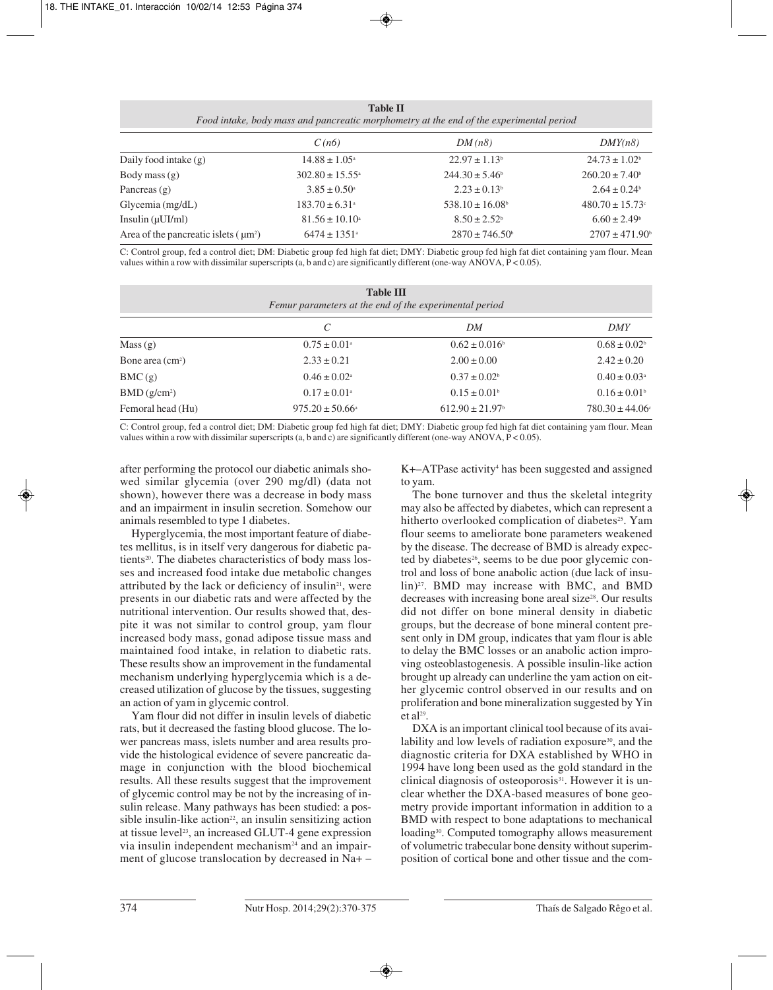**Table II** *Food intake, body mass and pancreatic morphometry at the end of the experimental period*

| DMY(n8)                      |
|------------------------------|
|                              |
| $24.73 \pm 1.02^b$           |
| $260.20 \pm 7.40^{\circ}$    |
| $2.64 \pm 0.24$              |
| $480.70 \pm 15.73$           |
| $6.60 \pm 2.49$ <sup>b</sup> |
| $2707 \pm 471.90^{\circ}$    |
|                              |

C: Control group, fed a control diet; DM: Diabetic group fed high fat diet; DMY: Diabetic group fed high fat diet containing yam flour. Mean values within a row with dissimilar superscripts (a, b and c) are significantly different (one-way ANOVA,  $\overline{P}$  < 0.05).

| <b>Table III</b><br>Femur parameters at the end of the experimental period |                              |                                 |                                 |  |
|----------------------------------------------------------------------------|------------------------------|---------------------------------|---------------------------------|--|
|                                                                            | C                            | DΜ                              | DMY                             |  |
| Mass(g)                                                                    | $0.75 \pm 0.01$ <sup>a</sup> | $0.62 \pm 0.016$ <sup>b</sup>   | $0.68 \pm 0.02$                 |  |
| Bone area $(cm2)$                                                          | $2.33 \pm 0.21$              | $2.00 \pm 0.00$                 | $2.42 \pm 0.20$                 |  |
| BMC(g)                                                                     | $0.46 \pm 0.02^{\circ}$      | $0.37 \pm 0.02^b$               | $0.40 \pm 0.03$ <sup>a</sup>    |  |
| BMD(g/cm <sup>2</sup> )                                                    | $0.17 \pm 0.01^{\circ}$      | $0.15 \pm 0.01$ <sup>b</sup>    | $0.16 \pm 0.01$ <sup>b</sup>    |  |
| Femoral head (Hu)                                                          | $975.20 \pm 50.66^{\circ}$   | $612.90 \pm 21.97$ <sup>b</sup> | $780.30 \pm 44.06$ <sup>c</sup> |  |

C: Control group, fed a control diet; DM: Diabetic group fed high fat diet; DMY: Diabetic group fed high fat diet containing yam flour. Mean values within a row with dissimilar superscripts (a, b and c) are significantly different (one-way ANOVA, P < 0.05).

after performing the protocol our diabetic animals showed similar glycemia (over 290 mg/dl) (data not shown), however there was a decrease in body mass and an impairment in insulin secretion. Somehow our animals resembled to type 1 diabetes.

Hyperglycemia, the most important feature of diabetes mellitus, is in itself very dangerous for diabetic patients<sup>20</sup>. The diabetes characteristics of body mass losses and increased food intake due metabolic changes attributed by the lack or deficiency of insulin<sup>21</sup>, were presents in our diabetic rats and were affected by the nutritional intervention. Our results showed that, despite it was not similar to control group, yam flour increa sed body mass, gonad adipose tissue mass and maintained food intake, in relation to diabetic rats. These results show an improvement in the fundamental mechanism underlying hyperglycemia which is a decreased utilization of glucose by the tissues, suggesting an action of yam in glycemic control.

Yam flour did not differ in insulin levels of diabetic rats, but it decreased the fasting blood glucose. The lower pancreas mass, islets number and area results provide the histological evidence of severe pancreatic damage in conjunction with the blood biochemical results. All these results suggest that the improvement of glycemic control may be not by the increasing of insulin release. Many pathways has been studied: a possible insulin-like action<sup>22</sup>, an insulin sensitizing action at tissue level<sup>23</sup>, an increased GLUT-4 gene expression via insulin independent mechanism<sup>24</sup> and an impairment of glucose translocation by decreased in Na+ – K+–ATPase activity<sup>4</sup> has been suggested and assigned to yam.

The bone turnover and thus the skeletal integrity may also be affected by diabetes, which can represent a hitherto overlooked complication of diabetes<sup>25</sup>. Yam flour seems to ameliorate bone parameters weakened by the disease. The decrease of BMD is already expected by diabetes<sup>26</sup>, seems to be due poor glycemic control and loss of bone anabolic action (due lack of insulin)27. BMD may increase with BMC, and BMD decreases with increasing bone areal size<sup>28</sup>. Our results did not differ on bone mineral density in diabetic groups, but the decrease of bone mineral content present only in DM group, indicates that yam flour is able to delay the BMC losses or an anabolic action improving osteoblastogenesis. A possible insulin-like action brought up already can underline the yam action on either glycemic control observed in our results and on proliferation and bone mineralization suggested by Yin et  $a^{129}$ .

DXA is an important clinical tool because of its availability and low levels of radiation exposure<sup>30</sup>, and the diagnostic criteria for DXA established by WHO in 1994 have long been used as the gold standard in the clinical diagnosis of osteoporosis $31$ . However it is unclear whether the DXA-based measures of bone geometry provide important information in addition to a BMD with respect to bone adaptations to mechanical loading<sup>30</sup>. Computed tomography allows measurement of volumetric trabecular bone density without superimposition of cortical bone and other tissue and the com-